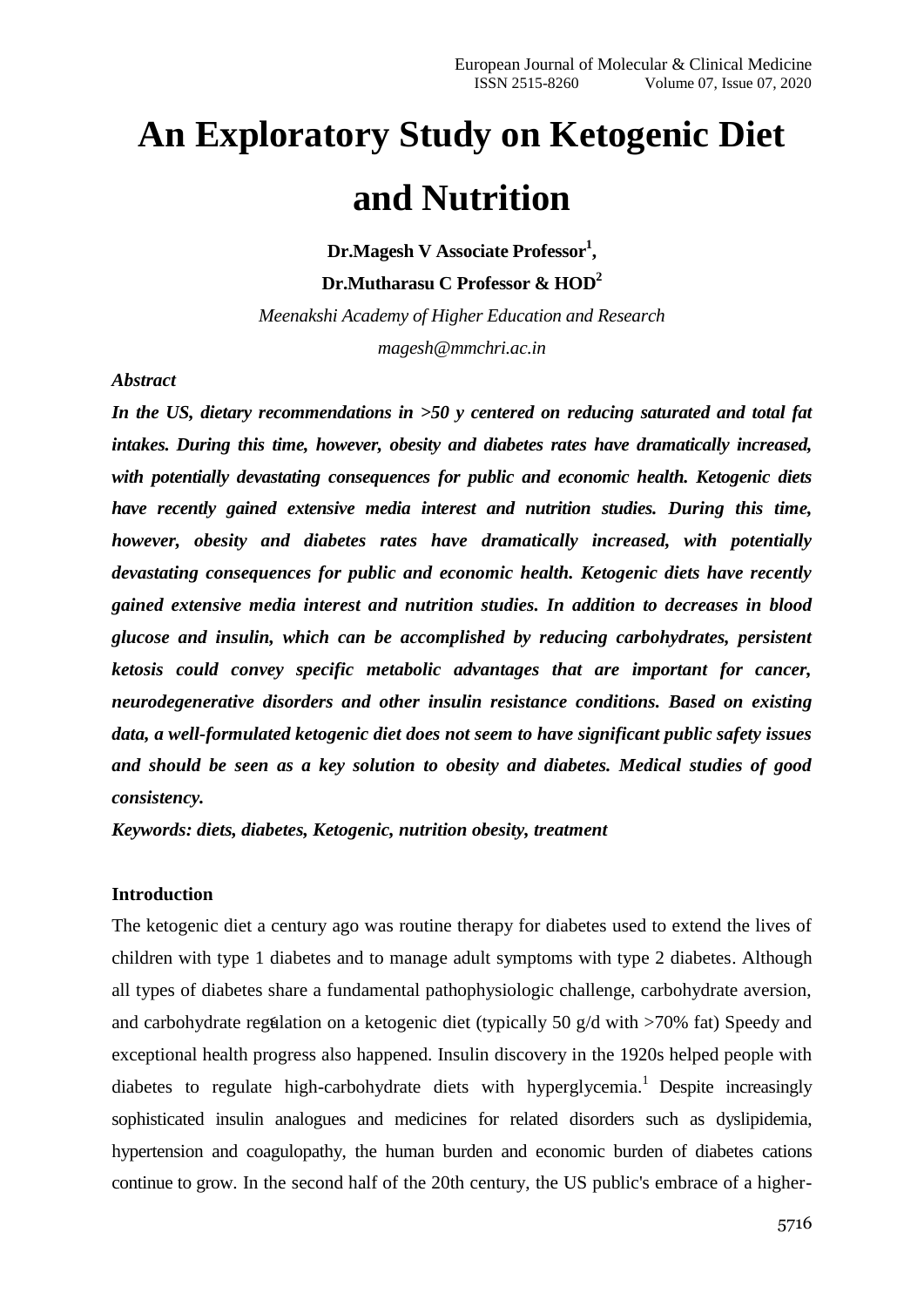# **An Exploratory Study on Ketogenic Diet and Nutrition**

**Dr.Magesh V Associate Professor<sup>1</sup> ,**

**Dr.Mutharasu C Professor & HOD<sup>2</sup>**

*Meenakshi Academy of Higher Education and Research magesh@mmchri.ac.in*

### *Abstract*

*In the US, dietary recommendations in >50 y centered on reducing saturated and total fat intakes. During this time, however, obesity and diabetes rates have dramatically increased, with potentially devastating consequences for public and economic health. Ketogenic diets have recently gained extensive media interest and nutrition studies. During this time, however, obesity and diabetes rates have dramatically increased, with potentially devastating consequences for public and economic health. Ketogenic diets have recently gained extensive media interest and nutrition studies. In addition to decreases in blood glucose and insulin, which can be accomplished by reducing carbohydrates, persistent ketosis could convey specific metabolic advantages that are important for cancer, neurodegenerative disorders and other insulin resistance conditions. Based on existing data, a well-formulated ketogenic diet does not seem to have significant public safety issues and should be seen as a key solution to obesity and diabetes. Medical studies of good consistency.*

*Keywords: diets, diabetes, Ketogenic, nutrition obesity, treatment*

# **Introduction**

The ketogenic diet a century ago was routine therapy for diabetes used to extend the lives of children with type 1 diabetes and to manage adult symptoms with type 2 diabetes. Although all types of diabetes share a fundamental pathophysiologic challenge, carbohydrate aversion, and carbohydrate regulation on a ketogenic diet (typically 50 g/d with  $>70\%$  fat) Speedy and exceptional health progress also happened. Insulin discovery in the 1920s helped people with diabetes to regulate high-carbohydrate diets with hyperglycemia.<sup>1</sup> Despite increasingly sophisticated insulin analogues and medicines for related disorders such as dyslipidemia, hypertension and coagulopathy, the human burden and economic burden of diabetes cations continue to grow. In the second half of the 20th century, the US public's embrace of a higher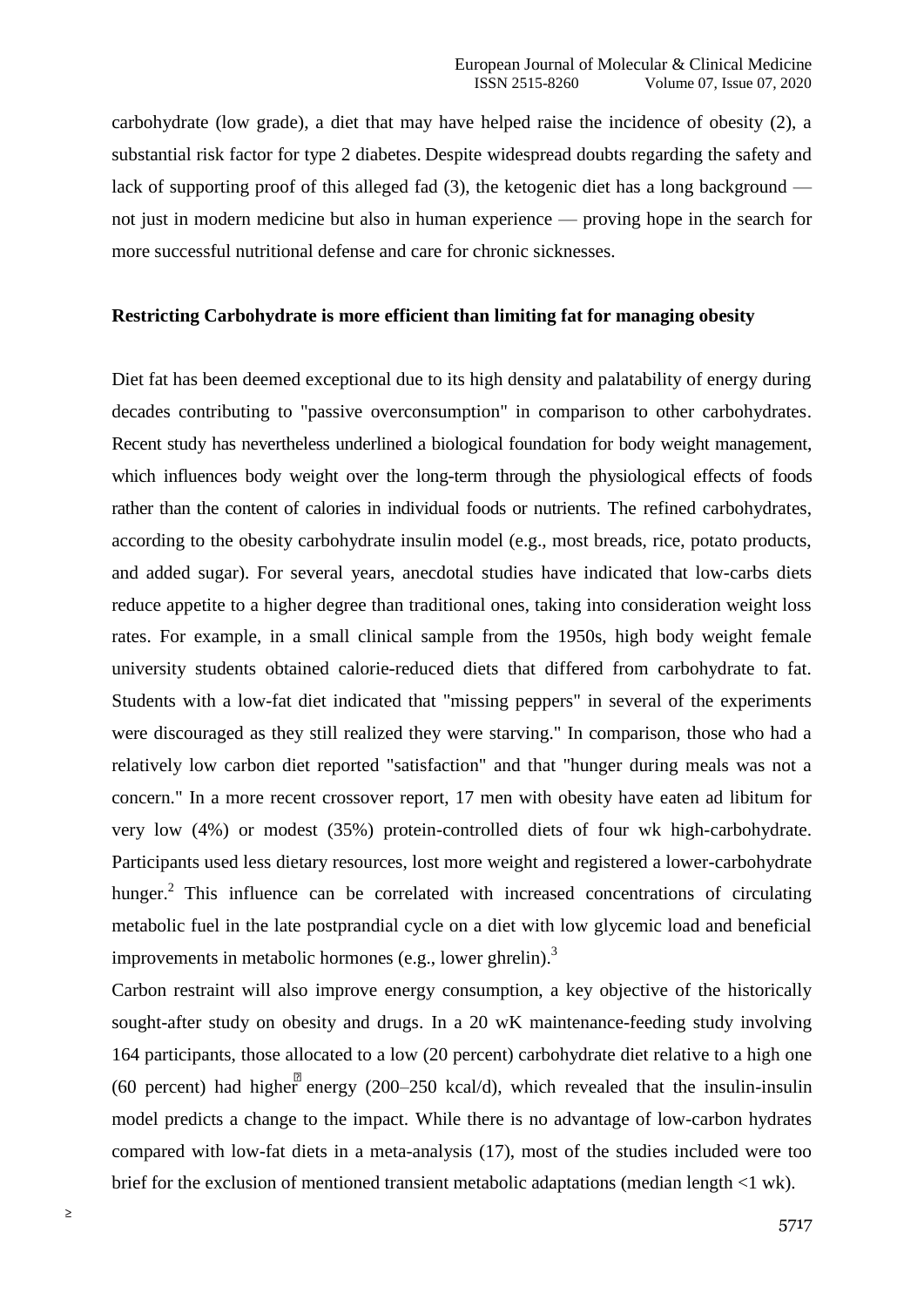carbohydrate (low grade), a diet that may have helped raise the incidence of obesity (2), a substantial risk factor for type 2 diabetes. Despite widespread doubts regarding the safety and lack of supporting proof of this alleged fad (3), the ketogenic diet has a long background not just in modern medicine but also in human experience — proving hope in the search for more successful nutritional defense and care for chronic sicknesses.

# **Restricting Carbohydrate is more efficient than limiting fat for managing obesity**

Diet fat has been deemed exceptional due to its high density and palatability of energy during decades contributing to "passive overconsumption" in comparison to other carbohydrates. Recent study has nevertheless underlined a biological foundation for body weight management, which influences body weight over the long-term through the physiological effects of foods rather than the content of calories in individual foods or nutrients. The refined carbohydrates, according to the obesity carbohydrate insulin model (e.g., most breads, rice, potato products, and added sugar). For several years, anecdotal studies have indicated that low-carbs diets reduce appetite to a higher degree than traditional ones, taking into consideration weight loss rates. For example, in a small clinical sample from the 1950s, high body weight female university students obtained calorie-reduced diets that differed from carbohydrate to fat. Students with a low-fat diet indicated that "missing peppers" in several of the experiments were discouraged as they still realized they were starving." In comparison, those who had a relatively low carbon diet reported "satisfaction" and that "hunger during meals was not a concern." In a more recent crossover report, 17 men with obesity have eaten ad libitum for very low (4%) or modest (35%) protein-controlled diets of four wk high-carbohydrate. Participants used less dietary resources, lost more weight and registered a lower-carbohydrate hunger.<sup>2</sup> This influence can be correlated with increased concentrations of circulating metabolic fuel in the late postprandial cycle on a diet with low glycemic load and beneficial improvements in metabolic hormones (e.g., lower ghrelin).<sup>3</sup>

Carbon restraint will also improve energy consumption, a key objective of the historically sought-after study on obesity and drugs. In a 20 wK maintenance-feeding study involving 164 participants, those allocated to a low (20 percent) carbohydrate diet relative to a high one (60 percent) had higher energy (200–250 kcal/d), which revealed that the insulin-insulin model predicts a change to the impact. While there is no advantage of low-carbon hydrates compared with low-fat diets in a meta-analysis (17), most of the studies included were too brief for the exclusion of mentioned transient metabolic adaptations (median length <1 wk).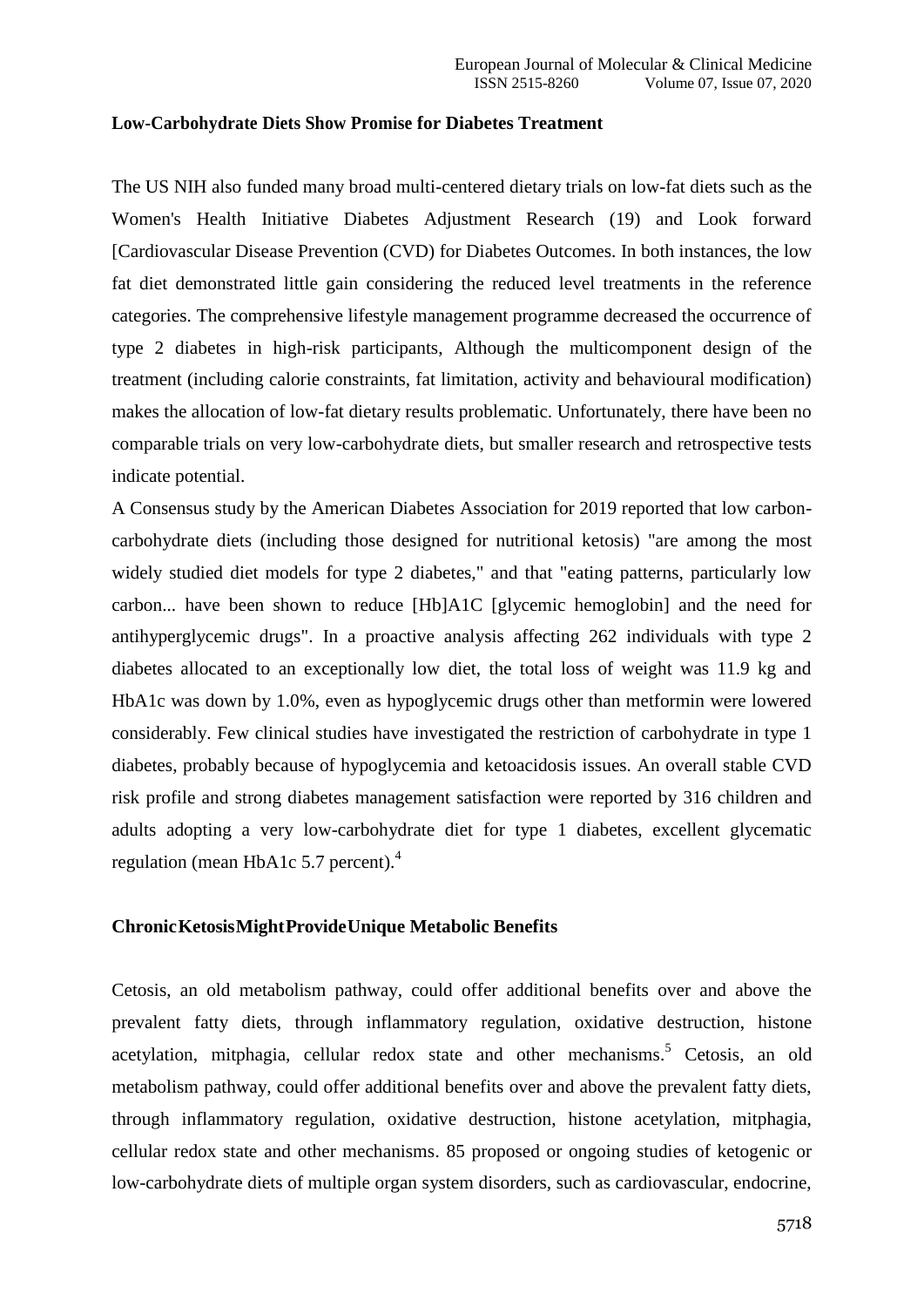## **Low-Carbohydrate Diets Show Promise for Diabetes Treatment**

The US NIH also funded many broad multi-centered dietary trials on low-fat diets such as the Women's Health Initiative Diabetes Adjustment Research (19) and Look forward [Cardiovascular Disease Prevention (CVD) for Diabetes Outcomes. In both instances, the low fat diet demonstrated little gain considering the reduced level treatments in the reference categories. The comprehensive lifestyle management programme decreased the occurrence of type 2 diabetes in high-risk participants, Although the multicomponent design of the treatment (including calorie constraints, fat limitation, activity and behavioural modification) makes the allocation of low-fat dietary results problematic. Unfortunately, there have been no comparable trials on very low-carbohydrate diets, but smaller research and retrospective tests indicate potential.

A Consensus study by the American Diabetes Association for 2019 reported that low carboncarbohydrate diets (including those designed for nutritional ketosis) "are among the most widely studied diet models for type 2 diabetes," and that "eating patterns, particularly low carbon... have been shown to reduce [Hb]A1C [glycemic hemoglobin] and the need for antihyperglycemic drugs". In a proactive analysis affecting 262 individuals with type 2 diabetes allocated to an exceptionally low diet, the total loss of weight was 11.9 kg and HbA1c was down by 1.0%, even as hypoglycemic drugs other than metformin were lowered considerably. Few clinical studies have investigated the restriction of carbohydrate in type 1 diabetes, probably because of hypoglycemia and ketoacidosis issues. An overall stable CVD risk profile and strong diabetes management satisfaction were reported by 316 children and adults adopting a very low-carbohydrate diet for type 1 diabetes, excellent glycematic regulation (mean HbA1c 5.7 percent).<sup>4</sup>

## **ChronicKetosisMightProvideUnique Metabolic Benefits**

Cetosis, an old metabolism pathway, could offer additional benefits over and above the prevalent fatty diets, through inflammatory regulation, oxidative destruction, histone acetylation, mitphagia, cellular redox state and other mechanisms. <sup>5</sup> Cetosis, an old metabolism pathway, could offer additional benefits over and above the prevalent fatty diets, through inflammatory regulation, oxidative destruction, histone acetylation, mitphagia, cellular redox state and other mechanisms. 85 proposed or ongoing studies of ketogenic or low-carbohydrate diets of multiple organ system disorders, such as cardiovascular, endocrine,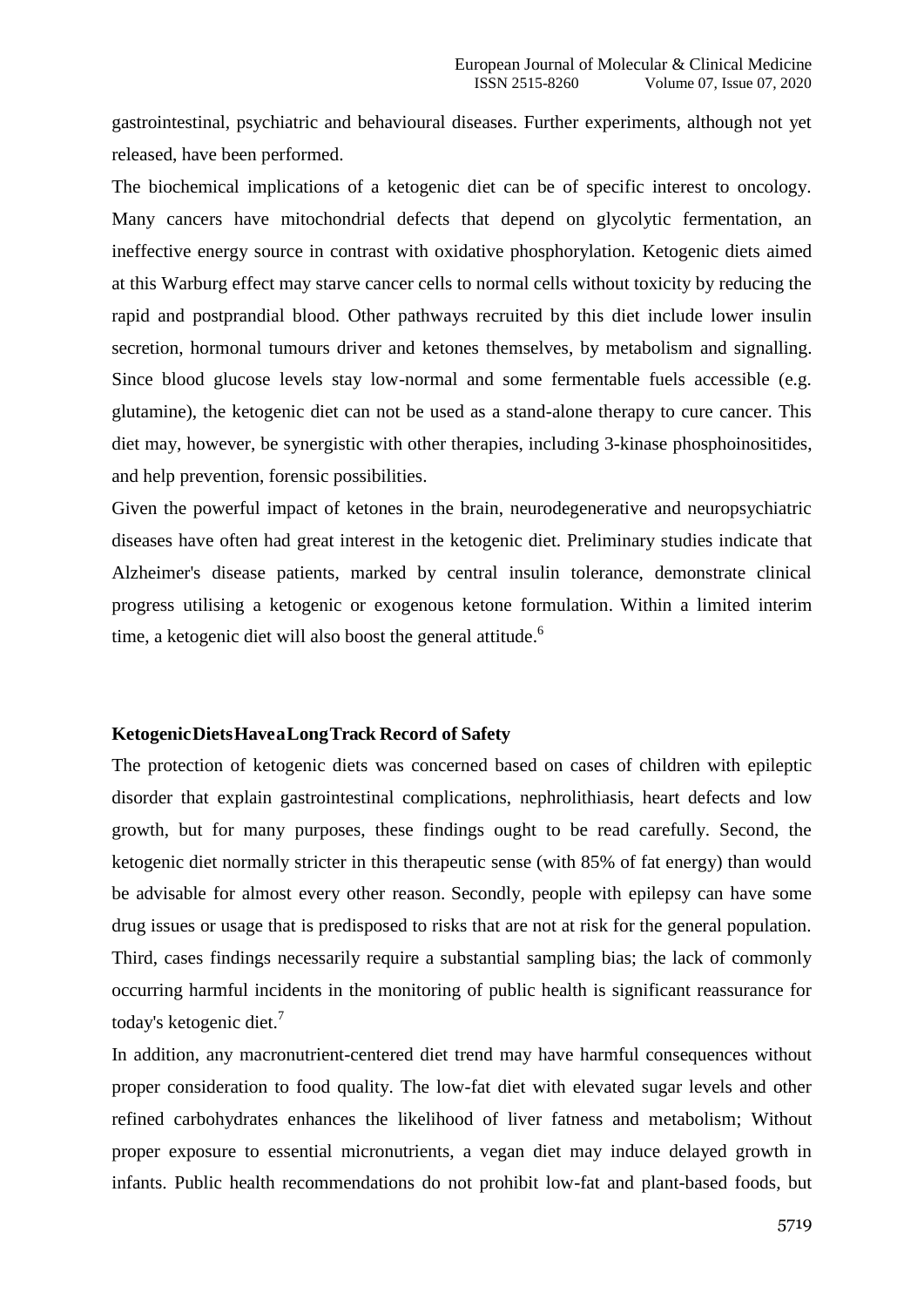gastrointestinal, psychiatric and behavioural diseases. Further experiments, although not yet released, have been performed.

The biochemical implications of a ketogenic diet can be of specific interest to oncology. Many cancers have mitochondrial defects that depend on glycolytic fermentation, an ineffective energy source in contrast with oxidative phosphorylation. Ketogenic diets aimed at this Warburg effect may starve cancer cells to normal cells without toxicity by reducing the rapid and postprandial blood. Other pathways recruited by this diet include lower insulin secretion, hormonal tumours driver and ketones themselves, by metabolism and signalling. Since blood glucose levels stay low-normal and some fermentable fuels accessible (e.g. glutamine), the ketogenic diet can not be used as a stand-alone therapy to cure cancer. This diet may, however, be synergistic with other therapies, including 3-kinase phosphoinositides, and help prevention, forensic possibilities.

Given the powerful impact of ketones in the brain, neurodegenerative and neuropsychiatric diseases have often had great interest in the ketogenic diet. Preliminary studies indicate that Alzheimer's disease patients, marked by central insulin tolerance, demonstrate clinical progress utilising a ketogenic or exogenous ketone formulation. Within a limited interim time, a ketogenic diet will also boost the general attitude.<sup>6</sup>

## **KetogenicDietsHaveaLongTrack Record of Safety**

The protection of ketogenic diets was concerned based on cases of children with epileptic disorder that explain gastrointestinal complications, nephrolithiasis, heart defects and low growth, but for many purposes, these findings ought to be read carefully. Second, the ketogenic diet normally stricter in this therapeutic sense (with 85% of fat energy) than would be advisable for almost every other reason. Secondly, people with epilepsy can have some drug issues or usage that is predisposed to risks that are not at risk for the general population. Third, cases findings necessarily require a substantial sampling bias; the lack of commonly occurring harmful incidents in the monitoring of public health is significant reassurance for today's ketogenic diet.<sup>7</sup>

In addition, any macronutrient-centered diet trend may have harmful consequences without proper consideration to food quality. The low-fat diet with elevated sugar levels and other refined carbohydrates enhances the likelihood of liver fatness and metabolism; Without proper exposure to essential micronutrients, a vegan diet may induce delayed growth in infants. Public health recommendations do not prohibit low-fat and plant-based foods, but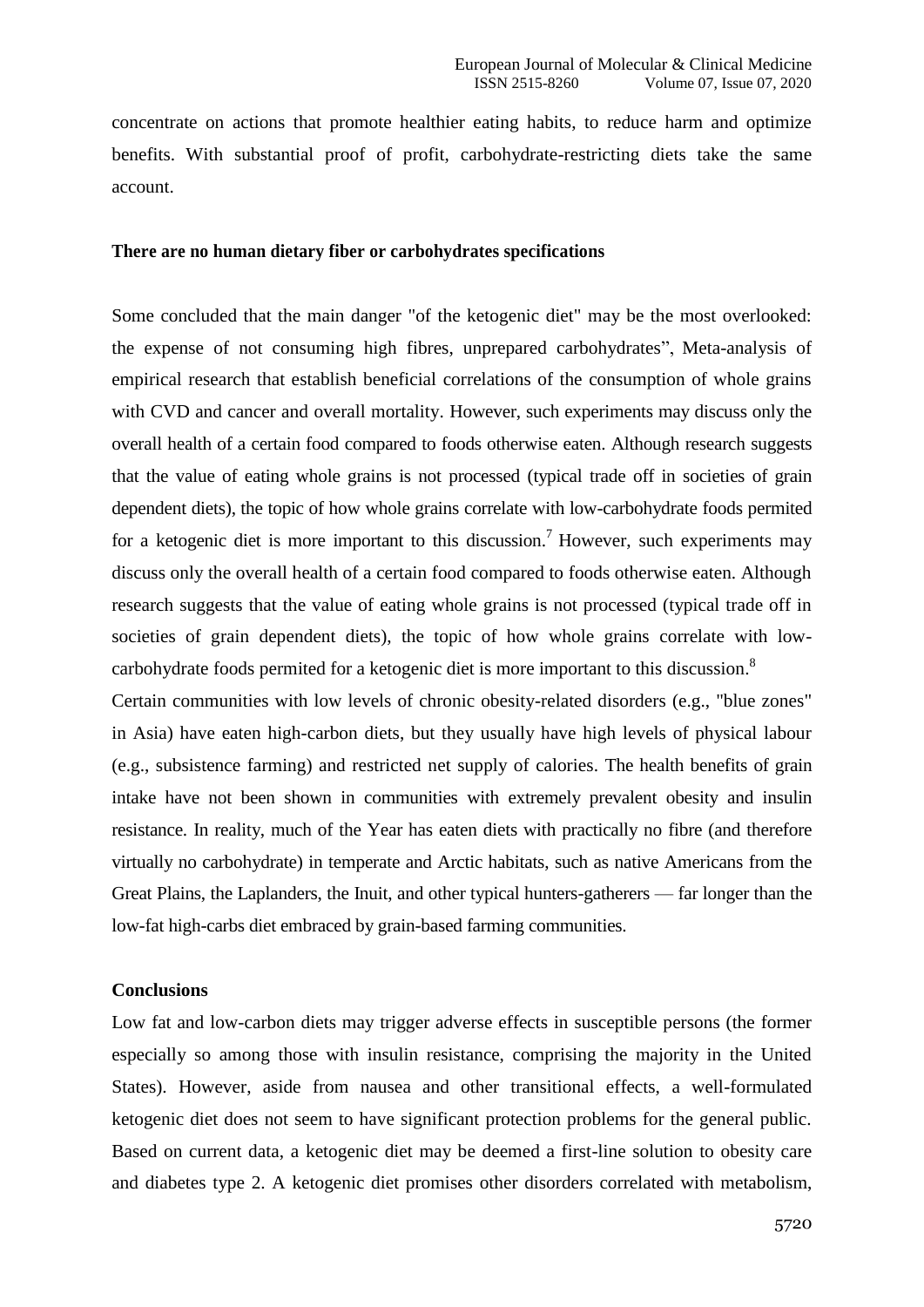concentrate on actions that promote healthier eating habits, to reduce harm and optimize benefits. With substantial proof of profit, carbohydrate-restricting diets take the same account.

#### **There are no human dietary fiber or carbohydrates specifications**

Some concluded that the main danger "of the ketogenic diet" may be the most overlooked: the expense of not consuming high fibres, unprepared carbohydrates", Meta-analysis of empirical research that establish beneficial correlations of the consumption of whole grains with CVD and cancer and overall mortality. However, such experiments may discuss only the overall health of a certain food compared to foods otherwise eaten. Although research suggests that the value of eating whole grains is not processed (typical trade off in societies of grain dependent diets), the topic of how whole grains correlate with low-carbohydrate foods permited for a ketogenic diet is more important to this discussion.<sup>7</sup> However, such experiments may discuss only the overall health of a certain food compared to foods otherwise eaten. Although research suggests that the value of eating whole grains is not processed (typical trade off in societies of grain dependent diets), the topic of how whole grains correlate with lowcarbohydrate foods permited for a ketogenic diet is more important to this discussion.<sup>8</sup>

Certain communities with low levels of chronic obesity-related disorders (e.g., "blue zones" in Asia) have eaten high-carbon diets, but they usually have high levels of physical labour (e.g., subsistence farming) and restricted net supply of calories. The health benefits of grain intake have not been shown in communities with extremely prevalent obesity and insulin resistance. In reality, much of the Year has eaten diets with practically no fibre (and therefore virtually no carbohydrate) in temperate and Arctic habitats, such as native Americans from the Great Plains, the Laplanders, the Inuit, and other typical hunters-gatherers — far longer than the low-fat high-carbs diet embraced by grain-based farming communities.

#### **Conclusions**

Low fat and low-carbon diets may trigger adverse effects in susceptible persons (the former especially so among those with insulin resistance, comprising the majority in the United States). However, aside from nausea and other transitional effects, a well-formulated ketogenic diet does not seem to have significant protection problems for the general public. Based on current data, a ketogenic diet may be deemed a first-line solution to obesity care and diabetes type 2. A ketogenic diet promises other disorders correlated with metabolism,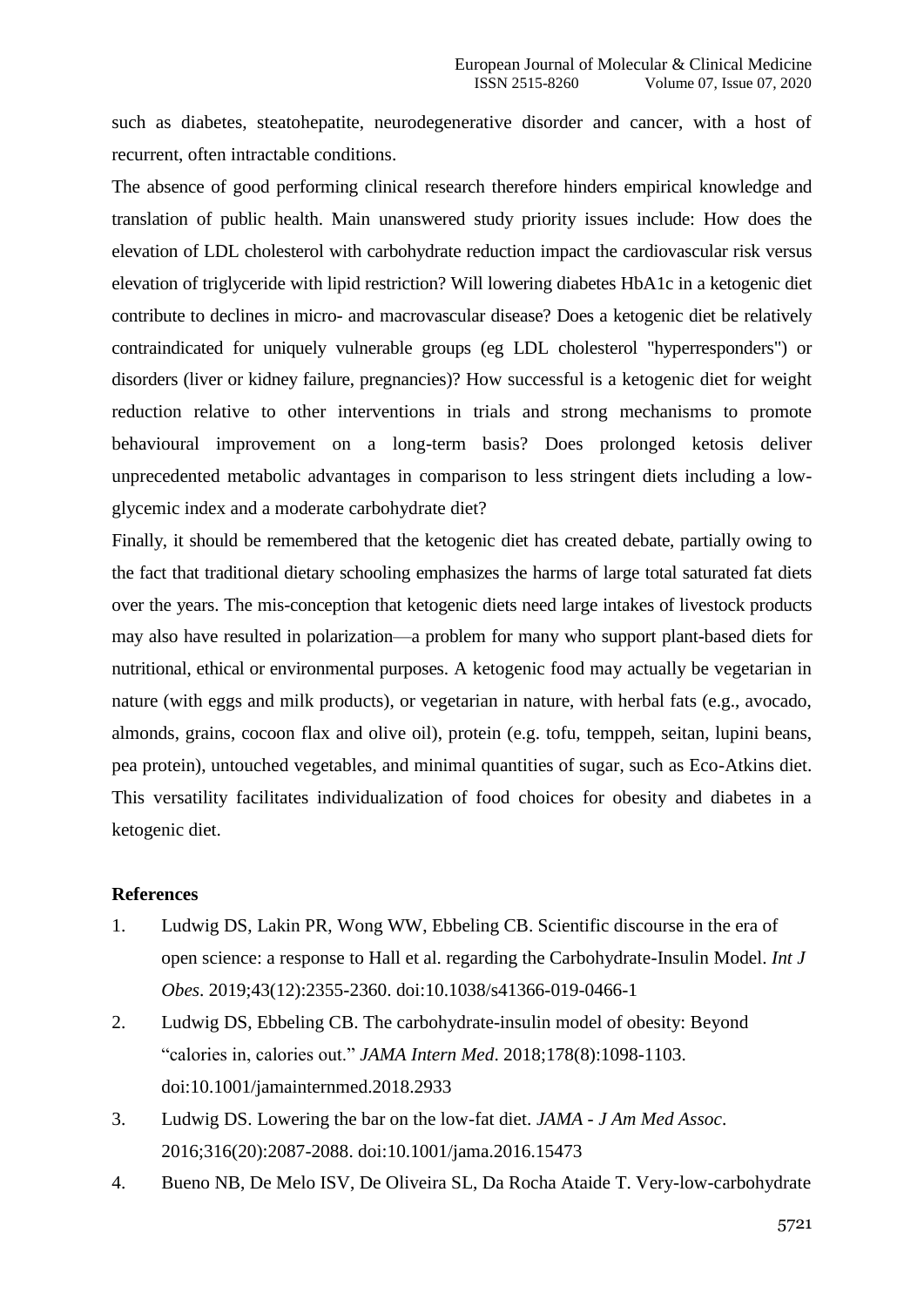such as diabetes, steatohepatite, neurodegenerative disorder and cancer, with a host of recurrent, often intractable conditions.

The absence of good performing clinical research therefore hinders empirical knowledge and translation of public health. Main unanswered study priority issues include: How does the elevation of LDL cholesterol with carbohydrate reduction impact the cardiovascular risk versus elevation of triglyceride with lipid restriction? Will lowering diabetes HbA1c in a ketogenic diet contribute to declines in micro- and macrovascular disease? Does a ketogenic diet be relatively contraindicated for uniquely vulnerable groups (eg LDL cholesterol "hyperresponders") or disorders (liver or kidney failure, pregnancies)? How successful is a ketogenic diet for weight reduction relative to other interventions in trials and strong mechanisms to promote behavioural improvement on a long-term basis? Does prolonged ketosis deliver unprecedented metabolic advantages in comparison to less stringent diets including a lowglycemic index and a moderate carbohydrate diet?

Finally, it should be remembered that the ketogenic diet has created debate, partially owing to the fact that traditional dietary schooling emphasizes the harms of large total saturated fat diets over the years. The mis-conception that ketogenic diets need large intakes of livestock products may also have resulted in polarization—a problem for many who support plant-based diets for nutritional, ethical or environmental purposes. A ketogenic food may actually be vegetarian in nature (with eggs and milk products), or vegetarian in nature, with herbal fats (e.g., avocado, almonds, grains, cocoon flax and olive oil), protein (e.g. tofu, temppeh, seitan, lupini beans, pea protein), untouched vegetables, and minimal quantities of sugar, such as Eco-Atkins diet. This versatility facilitates individualization of food choices for obesity and diabetes in a ketogenic diet.

### **References**

- 1. Ludwig DS, Lakin PR, Wong WW, Ebbeling CB. Scientific discourse in the era of open science: a response to Hall et al. regarding the Carbohydrate-Insulin Model. *Int J Obes*. 2019;43(12):2355-2360. doi:10.1038/s41366-019-0466-1
- 2. Ludwig DS, Ebbeling CB. The carbohydrate-insulin model of obesity: Beyond ―calories in, calories out.‖ *JAMA Intern Med*. 2018;178(8):1098-1103. doi:10.1001/jamainternmed.2018.2933
- 3. Ludwig DS. Lowering the bar on the low-fat diet. *JAMA - J Am Med Assoc*. 2016;316(20):2087-2088. doi:10.1001/jama.2016.15473
- 4. Bueno NB, De Melo ISV, De Oliveira SL, Da Rocha Ataide T. Very-low-carbohydrate